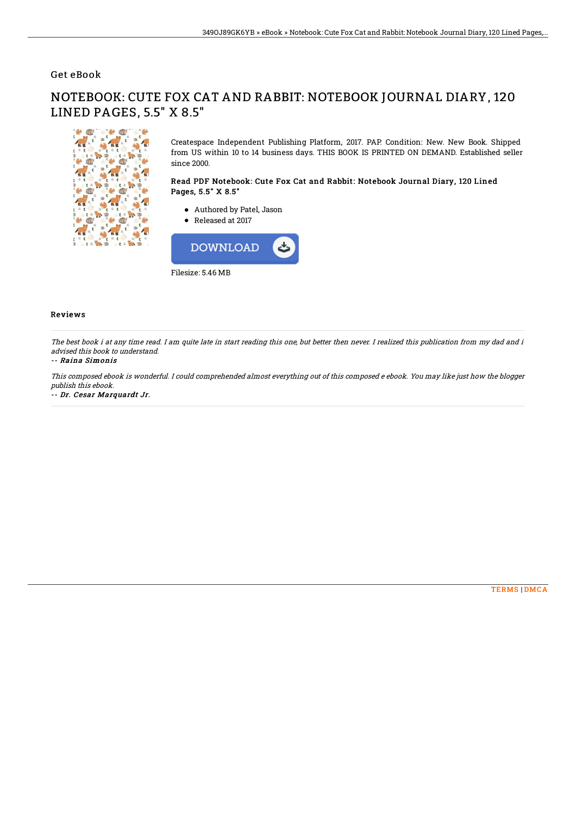# Get eBook

#### Be Called df o 藍  $\frac{1}{10}$  $\int_{a} t^{2}$  $\mathbf{z}$ 43 いっ  $\epsilon$ dft.  $\epsilon$  $\frac{1}{2}$ t. **CO** ff.  $\mathbf{r}$ Au

NOTEBOOK: CUTE FOX CAT AND RABBIT: NOTEBOOK JOURNAL DIARY, 120 LINED PAGES, 5.5" X 8.5"

> Createspace Independent Publishing Platform, 2017. PAP. Condition: New. New Book. Shipped from US within 10 to 14 business days. THIS BOOK IS PRINTED ON DEMAND. Established seller since 2000.

## Read PDF Notebook: Cute Fox Cat and Rabbit: Notebook Journal Diary, 120 Lined Pages, 5.5" X 8.5"

- Authored by Patel, Jason
- Released at 2017



### Reviews

The best book i at any time read. I am quite late in start reading this one, but better then never. I realized this publication from my dad and i advised this book to understand.

#### -- Raina Simonis

This composed ebook is wonderful. I could comprehended almost everything out of this composed <sup>e</sup> ebook. You may like just how the blogger publish this ebook.

-- Dr. Cesar Marquardt Jr.